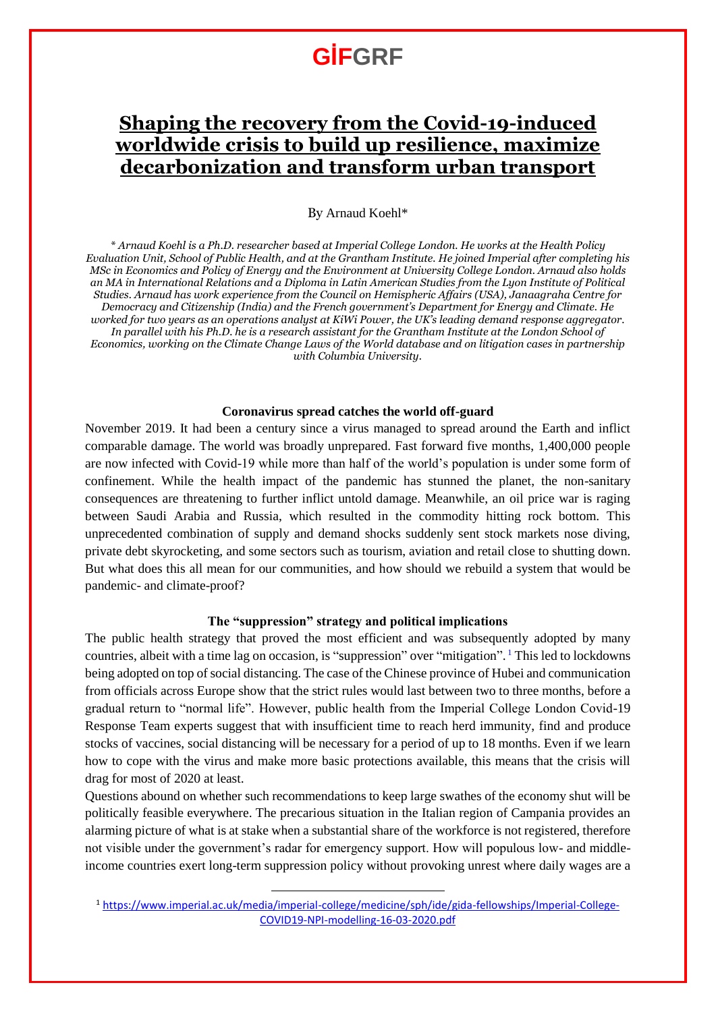# **GİFGRF**

## **Shaping the recovery from the Covid-19-induced worldwide crisis to build up resilience, maximize decarbonization and transform urban transport**

#### By Arnaud Koehl\*

*\* Arnaud Koehl is a Ph.D. researcher based at Imperial College London. He works at the Health Policy Evaluation Unit, School of Public Health, and at the Grantham Institute. He joined Imperial after completing his MSc in Economics and Policy of Energy and the Environment at University College London. Arnaud also holds an MA in International Relations and a Diploma in Latin American Studies from the Lyon Institute of Political Studies. Arnaud has work experience from the Council on Hemispheric Affairs (USA), Janaagraha Centre for Democracy and Citizenship (India) and the French government's Department for Energy and Climate. He worked for two years as an operations analyst at KiWi Power, the UK's leading demand response aggregator. In parallel with his Ph.D. he is a research assistant for the Grantham Institute at the London School of Economics, working on the Climate Change Laws of the World database and on litigation cases in partnership with Columbia University.*

#### **Coronavirus spread catches the world off-guard**

November 2019. It had been a century since a virus managed to spread around the Earth and inflict comparable damage. The world was broadly unprepared. Fast forward five months, 1,400,000 people are now infected with Covid-19 while more than half of the world's population is under some form of confinement. While the health impact of the pandemic has stunned the planet, the non-sanitary consequences are threatening to further inflict untold damage. Meanwhile, an oil price war is raging between Saudi Arabia and Russia, which resulted in the commodity hitting rock bottom. This unprecedented combination of supply and demand shocks suddenly sent stock markets nose diving, private debt skyrocketing, and some sectors such as tourism, aviation and retail close to shutting down. But what does this all mean for our communities, and how should we rebuild a system that would be pandemic- and climate-proof?

#### **The "suppression" strategy and political implications**

The public health strategy that proved the most efficient and was subsequently adopted by many countries, albeit with a time lag on occasion, is "suppression" over "mitigation". <sup>1</sup> This led to lockdowns being adopted on top of social distancing. The case of the Chinese province of Hubei and communication from officials across Europe show that the strict rules would last between two to three months, before a gradual return to "normal life". However, public health from the Imperial College London Covid-19 Response Team experts suggest that with insufficient time to reach herd immunity, find and produce stocks of vaccines, social distancing will be necessary for a period of up to 18 months. Even if we learn how to cope with the virus and make more basic protections available, this means that the crisis will drag for most of 2020 at least.

Questions abound on whether such recommendations to keep large swathes of the economy shut will be politically feasible everywhere. The precarious situation in the Italian region of Campania provides an alarming picture of what is at stake when a substantial share of the workforce is not registered, therefore not visible under the government's radar for emergency support. How will populous low- and middleincome countries exert long-term suppression policy without provoking unrest where daily wages are a

 $\overline{a}$ 

<sup>1</sup> [https://www.imperial.ac.uk/media/imperial-college/medicine/sph/ide/gida-fellowships/Imperial-College-](https://www.imperial.ac.uk/media/imperial-college/medicine/sph/ide/gida-fellowships/Imperial-College-COVID19-NPI-modelling-16-03-2020.pdf)[COVID19-NPI-modelling-16-03-2020.pdf](https://www.imperial.ac.uk/media/imperial-college/medicine/sph/ide/gida-fellowships/Imperial-College-COVID19-NPI-modelling-16-03-2020.pdf)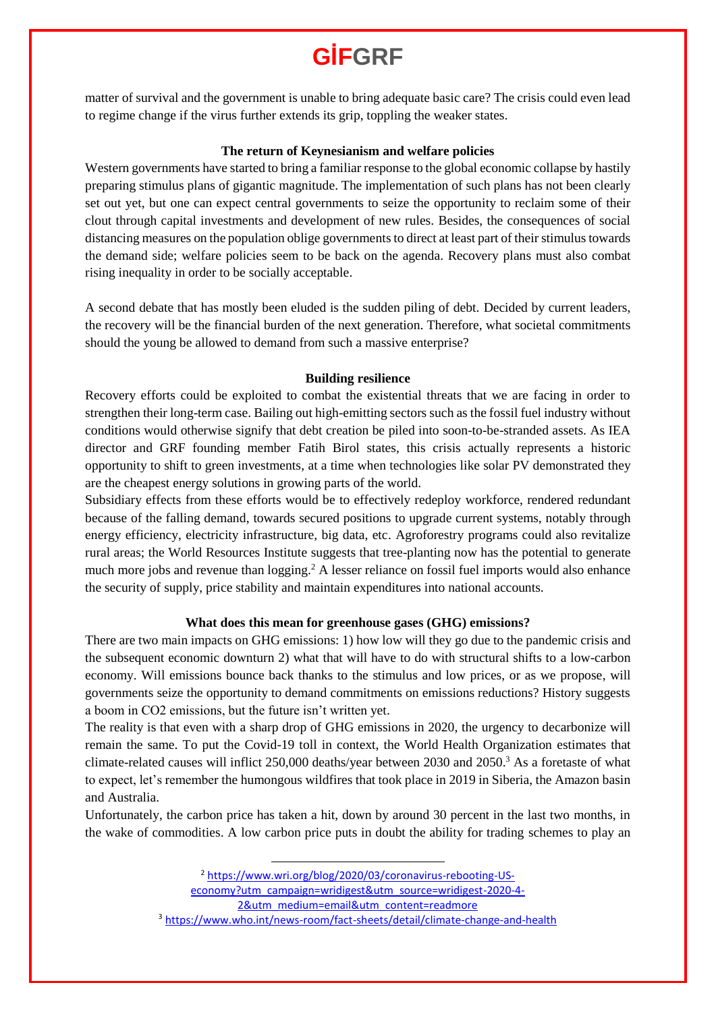# **GİFGRF**

matter of survival and the government is unable to bring adequate basic care? The crisis could even lead to regime change if the virus further extends its grip, toppling the weaker states.

#### **The return of Keynesianism and welfare policies**

Western governments have started to bring a familiar response to the global economic collapse by hastily preparing stimulus plans of gigantic magnitude. The implementation of such plans has not been clearly set out yet, but one can expect central governments to seize the opportunity to reclaim some of their clout through capital investments and development of new rules. Besides, the consequences of social distancing measures on the population oblige governments to direct at least part of their stimulus towards the demand side; welfare policies seem to be back on the agenda. Recovery plans must also combat rising inequality in order to be socially acceptable.

A second debate that has mostly been eluded is the sudden piling of debt. Decided by current leaders, the recovery will be the financial burden of the next generation. Therefore, what societal commitments should the young be allowed to demand from such a massive enterprise?

### **Building resilience**

Recovery efforts could be exploited to combat the existential threats that we are facing in order to strengthen their long-term case. Bailing out high-emitting sectors such as the fossil fuel industry without conditions would otherwise signify that debt creation be piled into soon-to-be-stranded assets. As IEA director and GRF founding member Fatih Birol states, this crisis actually represents a historic opportunity to shift to green investments, at a time when technologies like solar PV demonstrated they are the cheapest energy solutions in growing parts of the world.

Subsidiary effects from these efforts would be to effectively redeploy workforce, rendered redundant because of the falling demand, towards secured positions to upgrade current systems, notably through energy efficiency, electricity infrastructure, big data, etc. Agroforestry programs could also revitalize rural areas; the World Resources Institute suggests that tree-planting now has the potential to generate much more jobs and revenue than logging.<sup>2</sup> A lesser reliance on fossil fuel imports would also enhance the security of supply, price stability and maintain expenditures into national accounts.

### **What does this mean for greenhouse gases (GHG) emissions?**

There are two main impacts on GHG emissions: 1) how low will they go due to the pandemic crisis and the subsequent economic downturn 2) what that will have to do with structural shifts to a low-carbon economy. Will emissions bounce back thanks to the stimulus and low prices, or as we propose, will governments seize the opportunity to demand commitments on emissions reductions? History suggests a boom in CO2 emissions, but the future isn't written yet.

The reality is that even with a sharp drop of GHG emissions in 2020, the urgency to decarbonize will remain the same. To put the Covid-19 toll in context, the World Health Organization estimates that climate-related causes will inflict 250,000 deaths/year between 2030 and 2050. <sup>3</sup> As a foretaste of what to expect, let's remember the humongous wildfires that took place in 2019 in Siberia, the Amazon basin and Australia.

Unfortunately, the carbon price has taken a hit, down by around 30 percent in the last two months, in the wake of commodities. A low carbon price puts in doubt the ability for trading schemes to play an

[economy?utm\\_campaign=wridigest&utm\\_source=wridigest-2020-4-](https://www.wri.org/blog/2020/03/coronavirus-rebooting-US-economy?utm_campaign=wridigest&utm_source=wridigest-2020-4-2&utm_medium=email&utm_content=readmore)

 $\overline{a}$ 

[2&utm\\_medium=email&utm\\_content=readmore](https://www.wri.org/blog/2020/03/coronavirus-rebooting-US-economy?utm_campaign=wridigest&utm_source=wridigest-2020-4-2&utm_medium=email&utm_content=readmore)

<sup>2</sup> [https://www.wri.org/blog/2020/03/coronavirus-rebooting-US-](https://www.wri.org/blog/2020/03/coronavirus-rebooting-US-economy?utm_campaign=wridigest&utm_source=wridigest-2020-4-2&utm_medium=email&utm_content=readmore)

<sup>3</sup> <https://www.who.int/news-room/fact-sheets/detail/climate-change-and-health>